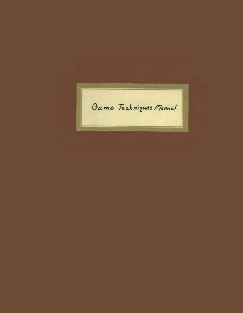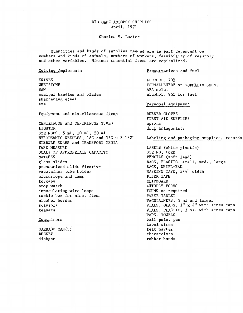# BIG GAME AUTOPSY SUPPLIES April, 1971

#### Charles V. Lucier

Quantities and kinds of supplies needed are in part dependent on numbers and kinds of animals, numbers of workers, feasibility of resupply and other variables. Minimum essential items are capitalized.

#### Cutting implements

KNIVES WHETSTONE SAW scalpel handles and blades sharpening steel axe

#### Equipment and miscellaneous items

CENTRIFUGE and CENTRIFUGE TUBES LIGHTER SYRINGES, *5* ml, 10 ml, 50 m1 HYPODERMIC NEEDLES, 18G and 13G x 3 1/2" STERILE SWABS and TRANSPORT MEDIA TAPE MEASURE SCALE OF APPROPRIATE CAPACITY MATCHES glass slides pressurized slide fixative vacutainer tube holder microscope and lamp forceps stop watch innoculating wire loops tackle box for misc. items alcohol burner scissors teasers

# Containers

GARBAGE CAN(S) BUCKET dishpan

# Preservatives and fuel

ALCOHOL, 70% FORMALDEHYDE or FORMALIN SOLN. AFA soln. alcohol, 95% for fuel

### Personal equipment

RUBBER GLOVES FIRST AID SUPPLIES aprons drug antagonists

# Labeling and packaging supplies, records

LABELS (white plastic) STRING, CORD PENCILS (soft lead) BAGS, PLASTIC, small, med., large BAGS, WHIRL-PAK MASKING TAPE, 3/4" width FIBER TAPE CLIPBOARD AUTOPSY FORMS FORMS as required PAPER TABLET VACUfAINERS, 5 ml and larger VIALS, GLASS,  $1'' \times 4''$  with screw caps VIALS, PLASTIC, 3 oz. with screw caps PAPER TOWELS ball point pen label wires felt marker cheesecloth rubber bands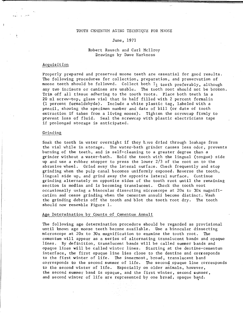### TOOTH CEMENTUM AGING TECHNIQUE FOR MOOSE

### June, 1971

### Robert Rausch and Carl Mcilroy Drawings by Dave Harkness

# Acquisition

Properly prepared and preserved moose teeth are essential for good results. The following procedures for collection, preparation, and preservation of moose teeth should be followed. Collect both I<sub>1</sub> teeth preferably, although any two incisors or canines are usable. The tooth root should not be broken. Trim off all tissue adhering to the tooth roots. Place both teeth in a 20 ml screw-top, glass vial that is half filled with 2 percent formalin (1 percent formaldehyde). Include a white plastic tag, labeled with a pencil, showing the specimen number and date of kill (or date of tooth extraction if taken from a living moose). Tighten the screwcap firmly to prevent loss of fluid. Seal the screwcap with plastic electricians tape if prolonged storage is anticipated.

#### Grinding

Soak the teeth in water overnight if they h.we dried through leakage from the vial while in storage. The water-bath grinder causes less odor, prevents burning of the teeth, and is self-cleaning to a greater degree than a grinder without a water-bath. Hold the tooth with the lingual (tongue) side up and use a rubber stopper to press the lower 2/3 of the root on to the abrasive wheel. Grind away the lateral surface. Check frequently and stop grinding when the pulp canal becomes uniformly exposed. Reverse the tooth, lingual side up, and grind away the opposite lateral surface. Continue grinding alternately on opposite sides of the tooth root until the remaining section is median and is becoming translucent. Check the tooth root occasionally using *a* binocular dissecting microscope at 20x to 30x magnification and cease grinding when the cementum annuli become distinct. Wash the grinding debris off the tooth and blot the tooth root dry. The tooth should now resemble Figure 1.

### Age Determination by Counts of Cementum Annuli

The following age determination procedure should be regarded as provisional until known age moose teeth become available. Use a binocular dissecting microscope at 20x to 30x magnification to examine the tooth root. The cementum will appear as a series of alternating translucent bands and opaque lines. By definition, translucent bands will be called summer bands and opaque lines will be called winter lines. Starting at the dentine-cementum interface, the first opaque line lies close to the dentine and corresponds to the first winter of life. The innermost, broad, translucent band corresponds to the second summer of life. The second opaque line corresponds to the second winter of life. Especially on older animals, however, the second summer band is opaque, and the first winter, second summer, and second winter of life are represented by one broad, opaque band.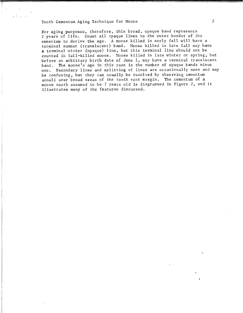Tooth Cementum Aging Technique for Moose 2

For aging purposes, therefore, this broad, opaque band represents 2 years of life. Count all opaque lines to the outer border of the cementum to derive the age. A moose killed in early fall will have a terminal summer (translucent) band. Moose killed in late fall may have a terminal winter (opaque) line, but this terminal line should not be counted in fall-killed moose. Moose killed in late winter or spring, but before an arbitrary birth date of June 1, may have a terminal translucent band. The moose's age in this case is the number of opaque bands minus one. Secondary lines and splitting of lines are occasionally seen and may be confusing, but they can usually be resolved by observing cementum annuli over broad areas of the tooth root margin. The cementum of a moose tooth assumed to be 7 years old is diagrammed in Figure 2, and it illustrates many of the features discussed.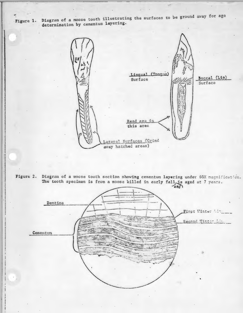".<br>Figure 1. Diagram of a moose tooth illustrating the surfaces to be ground away for age determination by cementum layering.



Figure 2. Diagram of a moose tooth section showing cementum layering under 60X magnif<br>The tooth specimen is from a moose killed in early fall, is aged at 7 years.



ly mith Ame & :,'

j

:j

I

I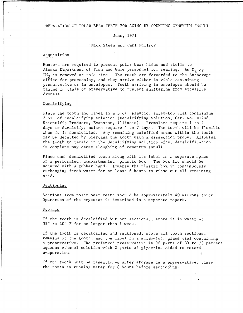#### PREPARATION OF POLAR BEAR TEETH FOR AGING BY COUNTING CEMENTUM ANNULI

### June, 1971

#### Nick Steen and Carl Mcilroy

### Acquisition

Hunters are required to present polar bear hides and skulls to Alaska Department of Fish and Game personnel for sealing. An  $M_2$  or  $PM<sub>3</sub>$  is removed at this time. The teeth are forwarded to the Anchorage office for processing, and they arrive either in vials containing preservative or in envelopes. Teeth arriving in envelopes should be placed in vials of preservative to prevent shattering from excessive dryness.

### Decalcifying

Place the tooth and label in a 3 oz. plastic, screw-top vial containing 2 oz. of decalcifying solution (Decalcifying Solution, Cat. No. Dl208, Scientific Products, Evanston, Illinois). Premolars require 1 to 2 days to decalcify; molars require 4 to 7 days. The tooth will be flexible when it is decalcified. Any remaining calcified areas within the tooth may be detected by piercing the tooth with a dissection probe. Allowing the tooth to remain in the decalcifying solution after decalcification is complete may cause sloughing of cementum annuli.

Place each decalcified tooth along with its label in a separate space of a perforated, compartmented, plastic box. The box lid should be secured with a rubber band. Immerse the plastic box in continuously exchanging fresh water for at least 6 hours to rinse out all remaining acid.

#### Sectioning

Sections from polar bear teeth should be approximately 40 microns thick. Operation of the cryostat is described in a separate report.

#### Storage

If the tooth is decalcified but not sectioned, store it in water at 35° to 40° F for no longer than 1 week.

If the tooth is decalcified and sectioned, store all tooth sections, remains of the tooth, and the label in a screw-top, glass vial containing a preservative. The preferred preservative is 98 parts of 30 to 70 percent aqueous ethanol solution with 2 parts of glycerine added to retard evaporation.

If the tooth must be resectioned after storage in a preservative, rinse the tooth in running water for 6 hours before sectioning.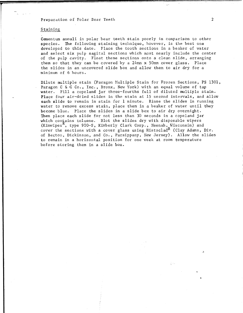Preparation of Polar Bear Teeth<br>
2

### Staining

Cementum annuli in polar bear teeth stain poorly in comparison to other species. The following staining technique, however, is the best one developed to this date. Place the tooth sections in a beaker of water and select six pulp sagital sections which most nearly include the center of the pulp cavity. Float these sections onto a clean slide, arranging them so that they can be covered by a 24mm x 50mm cover glass. Place the slides in an uncovered slide box and allow them to air dry for a minimum of 6 hours.

Dilute multiple stain (Paragon Multiple Stain for Frozen Sections, PS 1301, Paragon C & C Co., Inc., Bronx, New York) with an equal volume of tap water. Fill a copeland jar three-fourths full of diluted multiple stain. Place four air-dried slides in the stain at 15 second intervals, and allow each slide to remain in stain for 1 minute. Rinse the slides in running water to remove excess stain, place them in a beaker of water until they become blue. Place the slides in a slide box to air dry overnight. Then place each slide for not less than 30 seconds in a copeland jar which contains toluene. Blot the slides dry with disposable wipers (Kimwipes<sup>K</sup>, type 900-S, Kimberly Clark Corp., Neenah, Wisconsin) and cover the sections with a cover glass using Histoclad<sup>R</sup> (Clay Adams, Div. of Becton, Dickinson, and Co., Parsippany, New Jersey). Allow the slides to remain in a horizontal position for one week at room temperature before storing them in a slide box.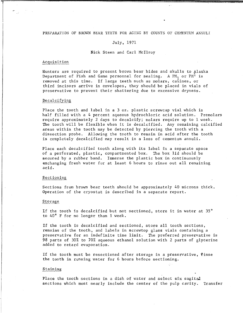#### PREPARATION OF BROWN BEAR TEETH FOR AGING BY COUNTS OF CEMENTUM ANKULI

# July, 1971

Nick Steen and Carl Mcilroy

# Acquisition

Hunters are required to present brown bear hides and skulls to Alaska Department of Fish and Game personnel for sealing. A PM<sub>1</sub> or PM<sup>1</sup> is removed at this time. If large teeth such as molars, canines, or third incisors arrive in envelopes, they should be placed in vials of preservative to prevent their shattering due to excessive dryness.

### Decalcifying

Place the tooth and label in a 3 oz. plastic screwcap vial which is half filled with a 4 percent aqueous hydrochloric acid solution. Premolars require approximately 2 days to decalcify; molars require up to 1 week. The tooth will be flexible when it is decalcified. Any remaining calcified areas within the tooth may be detected by piercing the tooth with a dissection probe. Allowing the tooth to remain in acid after the tooth is completely decalcified may result in a loss of cementum annuli.

Place each decalcified tooth along with its label in a separate space of a perforated, plastic, compartmented box. The box lid should be secured by a rubber band. Immerse the plastic box in continuously exchanging fresh water for at least 6 hours to rinse out all remaining acid.

#### Sectioning

Sections from brown bear teeth should be approximately 40 microns thick. Operation of the cryostat is described in a separate report.

#### Storage

If the tooth is decalcified but not sectioned, store it in water at 35° to 40° F for no longer than 1 week.

If the tooth is decalcified and sectioned, store all tooth sections, remains of the tooth, and labels in screwtop glass vials containing a preservative for an indefinite time limit. The preferred preservative is 98 parts of 30% to 70% aqueous ethanol solution with 2 parts of glycerine added to retard evaporation.

If the tooth must be resectioned after storage in a preservative, tinse the tooth in running water for 6 hours before sectioning.

#### Staining

Place the tooth sections in a dish of water and select six sagital sections which most nearly include the center of the pulp cavity. Transfer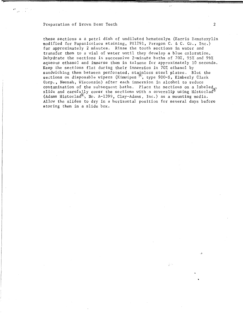#### Preparation of Brown Bear Teeth 2

these sections a a petri dish of undiluted hematoxlyn (Harris Hematoxylin modified for Papanicolaou staining, PS1291, Paragon C. & C. Co., Inc.) for approximately 2 minutes. Rinse the tooth sections in water and transfer them to a vial of water until they develop a blue coloration. Dehydrate the sections in successive 2-minute baths of 70%, 95% and 99% aqueous ethanol and immerse them in toluene for approximately 10 seconds. Keep the sections flat during their immersion in 70% ethanol by sandwiching them between perforated, stainless steel plates. Blot the sections on disposable wipers (Kimwipes  ${}^{(k)}$ , type 900-S, Kimberly Clark Corp., Neenah, Wisconsin) after each immersion in alcohol to reduce corp., we half wisconsing with the sections on a labeled contamination of the subsequent baths. Place the sections on a labeled slide and carefully cover the sections with a coverslip using Histoclad (Adams Histoclad<sup>R</sup>, No. A-1399, Clay-Adams, Inc.) as a mounting media. Allow the slides to dry in a horizontal position for several days before storing them in a slide box.

Q 3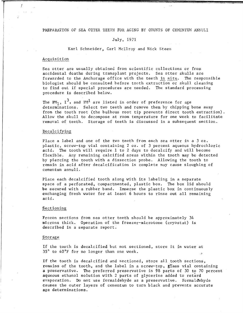#### PREPARATION OF SEA OTTER TEETH FOR AGING BY COUNTS OF CEMENTUM ANNULI

# July, 1971

Karl Schneider, Carl Mcilroy and Nick Steen

#### Acquisition

r

 $r_{\rm{max}}$ 

Sea otter are usually obtained from scientific collections or from accidental deaths during transplant projects. Sea otter skulls are forwarded to the Anchorage office with the teeth in situ. The responsible biologist should be consulted before tooth extraction or skull cleaning to find out if special procedures are needed. The standard processing procedure is described below.

The PM<sub>1</sub>,  $I^3$ , and PM<sup>1</sup> are listed in order of preference for age determinations. Select two teeth and remove them by chipping bone away from the tooth root (the bulbous root tip prevents direct tooth extraction). Allow the skull to decompose at room temperature for one week to facilitate removal of teeth. Storage of teeth is discussed in a subsequent section.

#### Decalcifying

Place a label and one of the two teeth from each sea otter in a 3 oz. plastic, screw-top vial containing 2 oz. of 3 percent aqueous hydrochloric acid. The tooth will require 1 to 2 days to decalcify and will become flexible. Any remaining calcified areas within the tooth may be detected by piercing the tooth with a dissection probe. Allowing the tooth to remain in acid after decalcification is complete may cause sloughing of cementum annuli.

Place each decalcified tooth along with its labeling in a separate space of a perforated, compartmented, plastic box. The box lid should be secured with a rubber band. Immerse the plastic box in continuously exchanging fresh water for at least 6 hours to rinse out all remaining acid.

#### Sectioning.

Frozen sections from sea otter teeth should be approximately 34 microns thick. Operation of the freezer-microtome (cryostat) is described in a separate report.

### Storage

If the tooth is decalcified but not sectioned, store it in water at 35° to 40°F for no longer than one week. ,

If the tooth is decalcified and sectioned, store all tooth sections, remains of the tooth, and the label in a screw-top, g1ass vial containing a preservative. The preferred preservative is 98 parts of 30 to 70 percent aqueous ethanol solution with 2 parts of glycerine added to retard evaporation. Do not use formaldehyde as a preservative. Formaldehyde causes the outer layers of cementum to turn black and prevents accurate age determinations.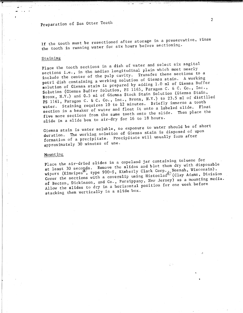Preparation of Sea Otter Teeth

If the tooth must be resectioned after storage in a preservative, rinse the tooth in running water for six hours before sectioning.

# Staining

Place the tooth sections in a dish of water and select six sagital sections i.e., in the median longitudinal plain which most nearly sections i.e., in this model.<br>include the center of the pulp cavity. Transfer these sections to a petri dish containing a working solution of Giemsa stain. A working petri dish containing a western by adding 1.0 ml of Giemsa Buffer Solution (Giemsa Buffer Solution, PS 1165, Paragon C. & C. Co., Inc., Bronx, N.Y.) and 0.5 ml of Giemsa Stock Stain Solution (Giemsa Stain, Bronx, N.I., and 0.5 mm of  $-$ <br>pc 1161, Paragon C. & C. Co., Inc., Bronx, N.Y.) to 23.5 ml of distilled water. Staining requires 10 to 12 minutes. Briefly immerse a tooth water. Staining requires to come measure.<br>section in a beaker of water and float it onto a like Theo place the five more sections from the same tooth onto the slide. Then place the slide in a slide box to air-dry for 16 to 18 hours.

Giemsa stain is water soluble, so exposure to water should be of short duration. The working solution of Giemsa stain is disposed of upon formation of a precipitate. Precipitate will usually form after approximately 30 minutes of use.

# Mounting\_

Place the air-dried slides in a copeland jar containing toluene for at least 30 seco<sub>nds</sub>. Remove the slides and blot them dry with disposable wipers (Kimwipes<sup>(K)</sup>, type 900-S, Kimberly Clark Corp., Neenah, Wisconsin). Cover the sections with a coverslip using Histoclad $\mathbb{R}$  (Clay Adams, Division of Becton, Dickinson, and Co., Parsippany, New Jersey) as a mounting media. Allow the slides to dry in a horizontal position for one week before stacking them vertically in a slide box.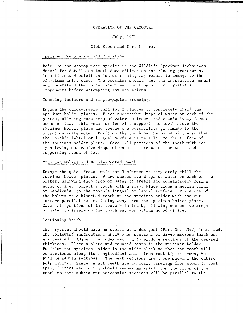# OPERATION OF THE CRYOSTAT

# July, 1971

# Nick Steen and Carl Mcilroy

### Specimen Preparation and Operation

Refer to the appropriate species in the Wildlife Specimen Techniques Manual for details on tooth decalcification and rinsing procedures. Insufficient decalcification or rinsing may result in damage to the microtome knife edge. The operator should read the instruction manual and understand the nomenclature and function of the cryostat's components before attempting any operations.

### Mounting Incisors and Single-Rooted Premolars

Engage the quick-freeze unit for 3 minutes to completely chill the specimen holder plates. Place successive drops of water on each of the plates, allowing each drop of water to freeze and cumulatively form a mound of ice. Tnis mound of ice will support the tooth above the specimen holder plate and reduce the possibility of damage to the microtome knife edge. Position the tooth on the mound of ice so that the tooth's labial or lingual surface is parallel to the surface of the specimen holder plate. Cover all portions of the tooth with ice by allowing successive drops of water to freeze on the tooth and supporting mound of ice.

# Mounting Molars and Double-Rooted Teeth

Engage the quick-freeze unit for 3 minutes to completely chill the specimen holder plates. Place successive drops of water on each of the plates, allowing each drop of water to freeze and cumulatively fopm a mound of ice. Bisect a tooth with a razor blade along a median plane perpendicular to the tooth's lingual or labial surface. Place one of the halves of a bisected tooth on the specimen holder with the cut surface parallel to but facing away from the specimen holder plate. Cover all portions of the tooth with ice by allowing successive drops of water to freeze on the tooth and supporting mound of ice.

# Sectioning Teeth

The cryostat should have an oversized index post (Part No. 3347) installed. The following instructions apply when sections of 32-46 microns thickness are desired. Adjust the index setting to produce sections of the desired thickness. Place a plate and mounted tooth in the specimen holder. Position the specimen holder in the slide block so that the tooth will be sectioned along its longitudinal axis, from root tip to crown, to produce median sections. The best sections are those showing the entire pulp cavity. Since intact teeth are conical, tapering from crown to root apex, initial sectioning should remove material from the crown of the tooth so that subsequent successive sections will be parallel to the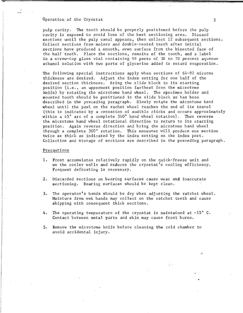Operation of the Cryostat 2

pulp cavity. The tooth should be properly positioned before the pulp cavity is exposed to avoid loss of the best sectioning area. Discard sections until the pulp canal appears, then collect 12 subsequent sections. Collect sections from molars and double-rooted teeth after initial sections have produced a smooth, even surface from the bisected face of the half tooth. Place the sections, remains of the tooth, and a label in a screw-top glass vial containing 98 parts of 30 to 70 percent aqueous ethanol solution with two parts of glycerine added to retard evaporation.

The following special instructions apply when sections of 64-92 microns thickness are desired. Adjust the index setting for one half of the desired section thickness. Bring the slide block to its starting position (i.e., an uppermost position farthest from the microtome knife) by rotating the microtome hand wheel. The specimen holder and mounted tooth should be positioned in the slide block as has been described in the preceding paragraph. Slowly rotate the microtome hand wheel until the pawl on the rachet wheel reaches the end of its travel (this is indicated by a cessation of audible clicks and occurs approximately within a 45° arc of a complete 360° hand wheel rotation). Then reverse the microtome hand wheel rotational direction to return to its starting position. Again reverse direction and bring the microtome hand wheel through a complete 360° rotation. This maneuver will produce one section twice as thick as indicated by the index setting on the index post. Collection and storage of sections are described in the preceding paragraph.

#### Precautions

- 1. Frost accumulates relatively rapidly on the quick-freeze unit and on the cooler walls and reduces the cryostat's cooling efficiency. Frequent defrosting is necessary.
- 2. Discarded sections on bearing surfaces cause wear and inaccurate sectioning. Bearing surfaces should be kept clean.
- 3. The operator's hands should be dry when adjusting the ratchet wheel. Moisture from wet hands may collect on the ratchet teeth and cause skipping with consequent thick sections.
- 4. The operating temperature of the cryostat is maintained at  $-15^{\circ}$  C. Contact between metal parts and skin may cause frost burns.
- 5. Remove the microtome knife before cleaning the cold chamber to avoid accidental injury.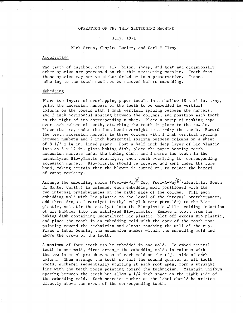### OPERATION OF THE THIN SECTIONING MACHINE

### July, 1971

### Nick Steen, Charles Lucier, and Carl Mcilroy

#### Acquisition

The teeth of caribou, deer, elk, bison, sheep, and goat and occasionally other species are processed on the thin sectioning machine. Teeth from these species may arrive either dried or in a preservative. Tissue adhering to the teeth need not be removed before embedding.

### Embedding

Place two layers of overlapping paper towels in a shallow 18 x 24 in. tray, print the accession numbers of the teeth to be embedded in vertical columns on the towels with  $1$  inch vertical spacing between the numbers, and 2 inch horizontal spacing between the columns, and position each tooth to the right of its corresponding number. Place a strip of masking tape over each column of teeth, attaching the teeth in place to the towels. Place the tray under the fume hood overnight to air-dry the teeth. Record the teeth accession numbers in three columns with 1 inch vertical spacing between numbers and 2 inch horizontal spacing between columns on a sheet of 8 1/2 x 14 in. lined paper. Pour a half inch deep layer of Bio-plastic into an 8 x 14 in. glass baking dish, place the paper bearing teeth accession numbers under the baking dish, and immerse the teeth in the uncatalyzed Bio-plastic overnight, each tooth overlying its corresponding accession number. Bio-plastic should be covered and kept under the fume hood, making certain that the blower is turned on, to reduce the hazard of vapor toxicity.

Arrange the embedding molds (Peel-A-Way<sup>(R)</sup> Cup, Peel-A-Way<sup>(R)</sup> Scientific, South El Monte, Calif.) in columns, each embedding mold positioned with its two internal protuberances on the right side of the column. Fill each embedding mold with Bio-plastic to the level of the internal protuberances, add three drops of catalyst (methyl ethyl ketone peroxide) to the Bioplastic, and stir the catalyst into the Bio-plastic while avoiding induction of air bubbles into the catalyzed Bio-plastic. Remove a tooth from the baking dish containing uncatalyzed Bio-plastic, blot off excess Bio-plastic, and place the tooth in an embedding mold with the apex of the tooth root pointing toward the technician and almost touching the wall of the cup. Place a label bearing the accession number within the embedding mold and above the crown of the tooth.

A maximum of four teeth can be embedded in one mold. To embed several teeth in one mold, first arrange the embedding molds in columns with the two internal protuberances of each mold on the right side of each column. Then arrange the teeth so that the second quarter of all tooth roots, numbered sequentially starting at each root apex, form a straight line with the teeth roots pointing toward the technician. Maintain uniform spacing between the teeth but allcw a  $1/4$  inch space on the right side of the embedding mold. Each accesion number on the label should be written directly above the crown of the corresponding tooth.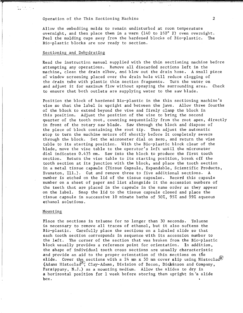Allow the embedding molds to remain undisturbed at room temperature overnight, and then place them in a warm (140 to 160° F) oven overnight.<br>Peel the molding cups away from the hardened blocks of Bio-plastic. The Peel the molding cups away from the hardened blocks of Bio-plastic. Bio-plastic blocks are now ready to section,

### Sectioning and Dehydrating

Read the instruction manual supplied with the thin sectioning machine before attempting any operations. Remove all discarded sections left in the machine, clean the drain elbow, and blow out the drain hose. A small piece of window screening placed over the drain hole will reduce clogging of the drain tube with plastic thin section fragments. Turn the water on and adjust it for maximum flow without spraying the surrounding area. Check to ensure that both outlets are supplying water to the saw blade.

Position the block of hardened Bio-plastic in the thin sectioning machine's vise so that the label is upright and between the jaws. Allow three fourths of the block to extend beyond the vise and firmly clamp the block in this position. Adjust the position of the vise to bring the second quarter of the tooth root, counting sequentially from the root apex, directly in front of the rotary saw blade. Saw through the block and dispose of the piece of block containing the root tip. Then adjust the automatic stop to turn the machine motors off shortly before it completely severs through the block. Set the micrometer dial on zero, and return the vise table to its starting position. With the Bio-plastic block clear of the blade, move the vise table to the operator's left until the micrometer dial indicates 0.435 mm. Saw into the block to produce the first tooth section. Return the vise table to its starting position, break off the tooth section at its junction with the block, and place the tooth section in a metal tissue capsule (Tissue Capsule, Expandable, Scientific Products, Evanston, Ill.). Cut and remove three to five additional sections. A number is etched on the lid of the tissue capsules. Record this capsule number on a sheet of paper and list alongside it the accession numbers of the teeth that are placed in the capsule in the same order as they appear on the label. Snap the lid to the tissue capsule closed and place the tissue capsule in successive 10 minute baths of 50%, 95% and 99% aqueous ethanol solutions.

### Mounting

Place the sections in toluene for no longer than 30 seconds. Toluene is necessary to remove all traces of ethanol, but it also softens the Bio-plastic. Carefully place the sections on a labeled slide so that each tooth section corresponds in sequence with its accession number to the left. The corner of the section that was broken from the Bio-plastic block usually provides a reference point for orientation. In addition, the shape of individual tooth cross sections are usually characteristic and provide an aid to the proper orientation of thin sections on the slide. Cover the sections with a 24 mm x 50 mm cover slip using Histoclad<sup>RI</sup> (Adams Histoclad<sup>E</sup>), Clay-Adams, Division of Becon, Dickinson and Company, Parsippany, N.J.) as a mounting medium. Allow the slides to dry in a horizontal position for 1 week before storing them upright in a slide box.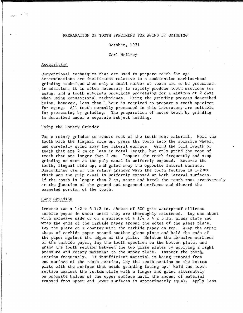# PREPARATION OF TOOTH SPECIMENS FOR AGING BY GRINDING

# October, 1971

### Carl Mcilroy

#### Acquisition

...-*:-•* 

Conventional techniques that are used to prepare teeth for age determinations are inefficient relative to a combination machine-hand grinding technique when only a small number of teeth are to be processed . . In addition, it is often necessary to rapidly produce tooth sections for aging, and a tooth specimen undergoes processing for a minimum of 2 days when using conventional techniques. Using the grinding process described below, however, less than 1 hour is required to prepare a tooth specimen for aging. All teeth normally processed in this laboratory are suitable for processing by grinding. The preparation of moose teeth by grinding is described under a separate subject heading.

#### Using the Rotary Grinder

Use a rotary grinder to remove most of the tooth root material. Hold the tooth with the lingual side up, press the tooth into the abrasive wheel, and carefully grind away the lateral surface. Grind the full length of teeth that are 2 em or less in total length, but only grind the root of teeth that are longer than 2 em. Inspect the tooth frequently and stop grinding as soon as the pulp canal is uniformly exposed. Reverse the tooth, lingual side up, and grind away the opposite lateral surface. Discontinue use of the rotary grinder when the tooth section is l-2mm thick and the pulp canal is uniformly exposed at both lateral surfaces. If the tooth is longer than 2 em, score and break the tooth root transversely at the junction of the ground and unground surfaces and discard the enameled portion of the tooth.

#### Hand Grinding

Immerse two 4 1/2 x *5* 1/2 in. sheets of 600 grit waterproof silicone carbide paper in water until they are thoroughly moistened. Lay one sheet with abrasive side up on a surface of a  $1/4 \times 4 \times 5$  in. glass plate and wrap the ends of the carbide paper around the edges of the glass plate. Lay the plate on a counter with the carbide paper on top. Wrap the other sheet of carbide paper around another glass plate and hold the ends of the paper against the edges of the plate. Moisten the abrasive surfaces of the carbide paper, lay the tooth specimen on the bottom plate, and grind the tooth section between the two glass plates by applying a light pressure and rotary movement to the upper plate. Inspect the tooth, section frequently. If insufficient material is being removed from one surface of the tooth section, lay the tooth section on the bottom plate with the surface that needs grinding facing up. Hold the tooth section against the bottom plate with a finger and grind alternately on opposite halves of the upper surface until the amount of material removed from upper and lower surfaces is approximately equal. Apply less